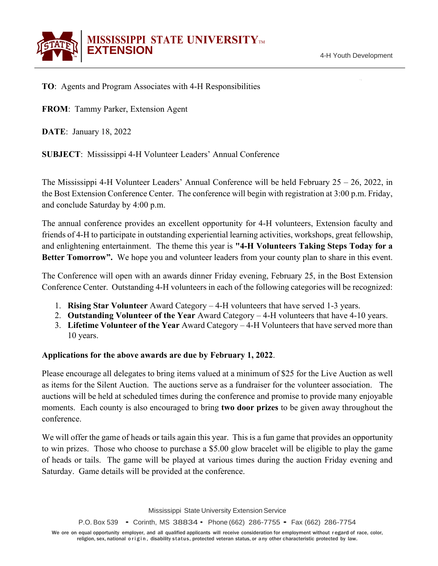

**TO**: Agents and Program Associates with 4-H Responsibilities

**FROM**: Tammy Parker, Extension Agent

**DATE**: January 18, 2022

**SUBJECT**: Mississippi 4-H Volunteer Leaders' Annual Conference

The Mississippi 4-H Volunteer Leaders' Annual Conference will be held February  $25 - 26$ , 2022, in the Bost Extension Conference Center. The conference will begin with registration at 3:00 p.m. Friday, and conclude Saturday by 4:00 p.m.

The annual conference provides an excellent opportunity for 4-H volunteers, Extension faculty and friends of 4-H to participate in outstanding experiential learning activities, workshops, great fellowship, and enlightening entertainment. The theme this year is **"4-H Volunteers Taking Steps Today for a Better Tomorrow".** We hope you and volunteer leaders from your county plan to share in this event.

The Conference will open with an awards dinner Friday evening, February 25, in the Bost Extension Conference Center. Outstanding 4-H volunteers in each of the following categories will be recognized:

- 1. **Rising Star Volunteer** Award Category 4-H volunteers that have served 1-3 years.
- 2. **Outstanding Volunteer of the Year** Award Category 4-H volunteers that have 4-10 years.
- 3. **Lifetime Volunteer of the Year** Award Category 4-H Volunteers that have served more than 10 years.

### **Applications for the above awards are due by February 1, 2022**.

Please encourage all delegates to bring items valued at a minimum of \$25 for the Live Auction as well as items for the Silent Auction. The auctions serve as a fundraiser for the volunteer association. The auctions will be held at scheduled times during the conference and promise to provide many enjoyable moments. Each county is also encouraged to bring **two door prizes** to be given away throughout the conference.

We will offer the game of heads or tails again this year. This is a fun game that provides an opportunity to win prizes. Those who choose to purchase a \$5.00 glow bracelet will be eligible to play the game of heads or tails. The game will be played at various times during the auction Friday evening and Saturday. Game details will be provided at the conference.

Mississippi State University Extension Service

P.O. Box 539 • Corinth, MS 38834 • Phone (662) 286-7755 • Fax (662) 286-7754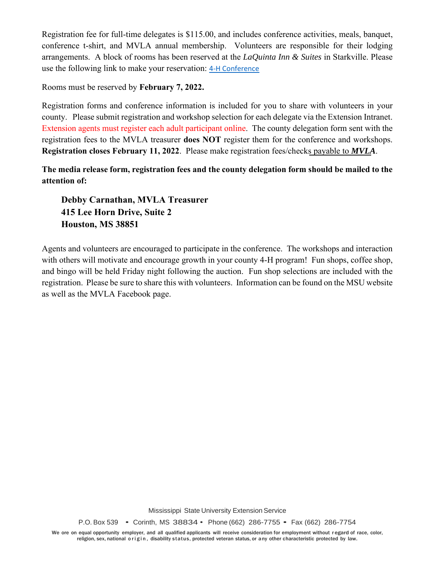Registration fee for full-time delegates is \$115.00, and includes conference activities, meals, banquet, conference t-shirt, and MVLA annual membership. Volunteers are responsible for their lodging arrangements. A block of rooms has been reserved at the *LaQuinta Inn & Suites* in Starkville. Please use the following link to make your reservation: [4-H Conference](https://secure-web.cisco.com/1BJjRdaq4NqUzYxh9963y3LqaU1-HpsGDPXDzjN9znTjDima5FGtAYQ4seYyYDPiWxhDaGqxXycliVIFjDkDJG80PSquFeDjeVCs7EYlfSd_npnmne-sbF6L6ViHt7oYqnWr1liIhI2IvU4RBse3w8QYHfx2wmdAZkSUbDPKDCvCqFzOHA9IittFou49cLOwnqwOZ2vVOwIN4mP2ycNo5rHW5z0Egt9_dPeJwbakD1pwpcNd1mQWBKDs71P3Kqb9LlSSo6HWgya2cEzVGJ0mwm-o1WTI2ex4ZBKqwGe1NyGChrr8yNUgdG5qtsxxdxB_b/https%3A%2F%2Fwww.wyndhamhotels.com%2Flaquinta%2Fstarkville-mississippi%2Fla-quinta-starkville-at-msu%2Frooms-rates%3F%26checkInDate%3D02%2F24%2F2022%26checkOutDate%3D02%2F26%2F2022%26groupCode%3DCGTPFH)

Rooms must be reserved by **February 7, 2022.** 

Registration forms and conference information is included for you to share with volunteers in your county. Please submit registration and workshop selection for each delegate via the Extension Intranet. Extension agents must register each adult participant online. The county delegation form sent with the registration fees to the MVLA treasurer **does NOT** register them for the conference and workshops. **Registration closes February 11, 2022**. Please make registration fees/checks payable to *MVLA*.

**The media release form, registration fees and the county delegation form should be mailed to the attention of:**

**Debby Carnathan, MVLA Treasurer 415 Lee Horn Drive, Suite 2 Houston, MS 38851**

Agents and volunteers are encouraged to participate in the conference. The workshops and interaction with others will motivate and encourage growth in your county 4-H program! Fun shops, coffee shop, and bingo will be held Friday night following the auction. Fun shop selections are included with the registration. Please be sure to share this with volunteers. Information can be found on the MSU website as well as the MVLA Facebook page.

Mississippi State University Extension Service

P.O. Box 539 • Corinth, MS 38834 • Phone (662) 286-7755 • Fax (662) 286-7754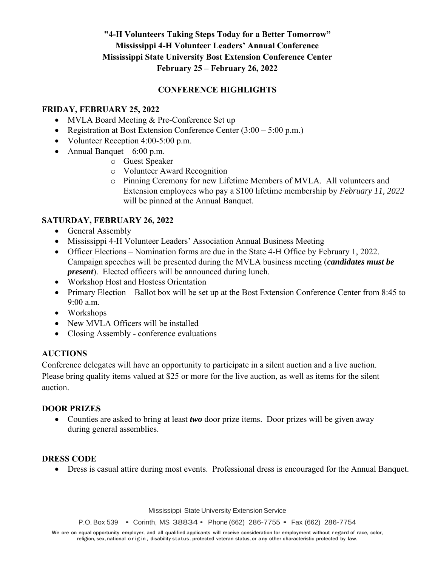# **"4-H Volunteers Taking Steps Today for a Better Tomorrow" Mississippi 4-H Volunteer Leaders' Annual Conference Mississippi State University Bost Extension Conference Center February 25 – February 26, 2022**

## **CONFERENCE HIGHLIGHTS**

### **FRIDAY, FEBRUARY 25, 2022**

- MVLA Board Meeting & Pre-Conference Set up
- Registration at Bost Extension Conference Center (3:00 5:00 p.m.)
- Volunteer Reception 4:00-5:00 p.m.
- Annual Banquet  $6:00$  p.m.
	- o Guest Speaker
	- o Volunteer Award Recognition
	- o Pinning Ceremony for new Lifetime Members of MVLA. All volunteers and Extension employees who pay a \$100 lifetime membership by *February 11, 2022* will be pinned at the Annual Banquet.

### **SATURDAY, FEBRUARY 26, 2022**

- General Assembly
- Mississippi 4-H Volunteer Leaders' Association Annual Business Meeting
- Officer Elections Nomination forms are due in the State 4-H Office by February 1, 2022. Campaign speeches will be presented during the MVLA business meeting (*candidates must be present*). Elected officers will be announced during lunch.
- Workshop Host and Hostess Orientation
- Primary Election Ballot box will be set up at the Bost Extension Conference Center from 8:45 to 9:00 a.m.
- Workshops
- New MVLA Officers will be installed
- Closing Assembly conference evaluations

### **AUCTIONS**

Conference delegates will have an opportunity to participate in a silent auction and a live auction. Please bring quality items valued at \$25 or more for the live auction, as well as items for the silent auction.

### **DOOR PRIZES**

• Counties are asked to bring at least *two* door prize items. Door prizes will be given away during general assemblies.

### **DRESS CODE**

• Dress is casual attire during most events. Professional dress is encouraged for the Annual Banquet.

Mississippi State University Extension Service

P.O. Box 539 • Corinth, MS 38834 • Phone (662) 286-7755 • Fax (662) 286-7754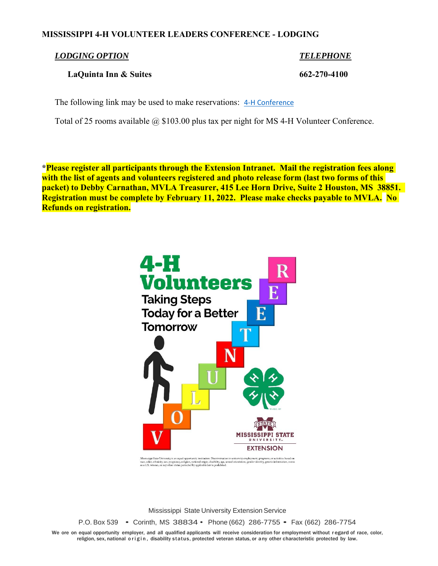### **MISSISSIPPI 4-H VOLUNTEER LEADERS CONFERENCE - LODGING**

#### *LODGING OPTION TELEPHONE*

### **LaQuinta Inn & Suites 662-270-4100**

The following link may be used to make reservations: [4-H Conference](https://secure-web.cisco.com/1BJjRdaq4NqUzYxh9963y3LqaU1-HpsGDPXDzjN9znTjDima5FGtAYQ4seYyYDPiWxhDaGqxXycliVIFjDkDJG80PSquFeDjeVCs7EYlfSd_npnmne-sbF6L6ViHt7oYqnWr1liIhI2IvU4RBse3w8QYHfx2wmdAZkSUbDPKDCvCqFzOHA9IittFou49cLOwnqwOZ2vVOwIN4mP2ycNo5rHW5z0Egt9_dPeJwbakD1pwpcNd1mQWBKDs71P3Kqb9LlSSo6HWgya2cEzVGJ0mwm-o1WTI2ex4ZBKqwGe1NyGChrr8yNUgdG5qtsxxdxB_b/https%3A%2F%2Fwww.wyndhamhotels.com%2Flaquinta%2Fstarkville-mississippi%2Fla-quinta-starkville-at-msu%2Frooms-rates%3F%26checkInDate%3D02%2F24%2F2022%26checkOutDate%3D02%2F26%2F2022%26groupCode%3DCGTPFH)

Total of 25 rooms available @ \$103.00 plus tax per night for MS 4-H Volunteer Conference.

**\*Please register all participants through the Extension Intranet. Mail the registration fees along with the list of agents and volunteers registered and photo release form (last two forms of this packet) to Debby Carnathan, MVLA Treasurer, 415 Lee Horn Drive, Suite 2 Houston, MS 38851. Registration must be complete by February 11, 2022. Please make checks payable to MVLA. No Refunds on registration.** 



Mississippi State University is an equal opportunity institution. Discrimination<br>race, color, ethnicity, sex, pregnancy, religion, national origin, disability, age, so<br>as a U.S. veteran, or any other status protected by ap university employment, programs, or activities based on<br>al orientation, gender identity, genetic information, status

Mississippi State University Extension Service

P.O. Box 539 • Corinth, MS 38834 • Phone (662) 286-7755 • Fax (662) 286-7754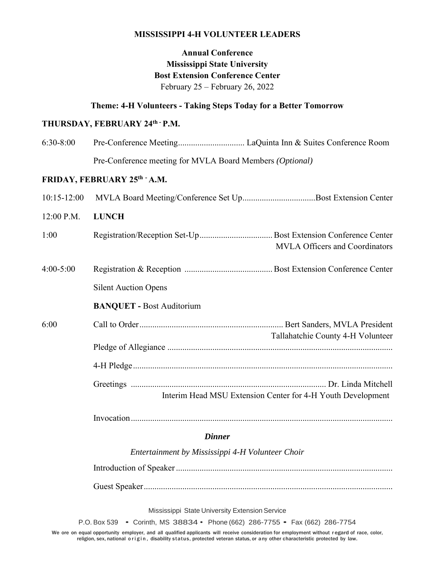### **MISSISSIPPI 4-H VOLUNTEER LEADERS**

# **Annual Conference Mississippi State University Bost Extension Conference Center** February 25 – February 26, 2022

### **Theme: 4-H Volunteers - Taking Steps Today for a Better Tomorrow**

# **THURSDAY, FEBRUARY 24th - P.M.**

| $6:30-8:00$     |                                                             |  |  |
|-----------------|-------------------------------------------------------------|--|--|
|                 | Pre-Conference meeting for MVLA Board Members (Optional)    |  |  |
|                 | FRIDAY, FEBRUARY 25th - A.M.                                |  |  |
| $10:15 - 12:00$ | MVLA Board Meeting/Conference Set UpBost Extension Center   |  |  |
| 12:00 P.M.      | <b>LUNCH</b>                                                |  |  |
| 1:00            | <b>MVLA Officers and Coordinators</b>                       |  |  |
| $4:00 - 5:00$   |                                                             |  |  |
|                 | <b>Silent Auction Opens</b>                                 |  |  |
|                 | <b>BANQUET - Bost Auditorium</b>                            |  |  |
| 6:00            | Tallahatchie County 4-H Volunteer                           |  |  |
|                 |                                                             |  |  |
|                 |                                                             |  |  |
|                 | Interim Head MSU Extension Center for 4-H Youth Development |  |  |
|                 |                                                             |  |  |

#### *Dinner*

*Entertainment by Mississippi 4-H Volunteer Choir* Introduction of Speaker..................................................................................................... Guest Speaker....................................................................................................................

Mississippi State University Extension Service

P.O. Box 539 • Corinth, MS 38834 • Phone (662) 286-7755 • Fax (662) 286-7754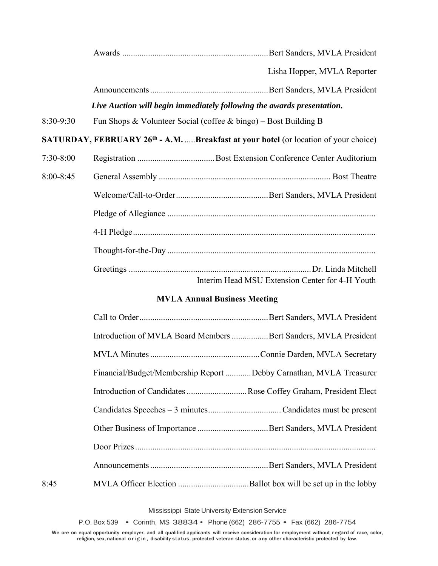|           | Lisha Hopper, MVLA Reporter                                                                     |
|-----------|-------------------------------------------------------------------------------------------------|
|           |                                                                                                 |
|           | Live Auction will begin immediately following the awards presentation.                          |
| 8:30-9:30 | Fun Shops & Volunteer Social (coffee & bingo) – Bost Building B                                 |
|           | SATURDAY, FEBRUARY 26 <sup>th</sup> - A.M. Breakfast at your hotel (or location of your choice) |
| 7:30-8:00 |                                                                                                 |
| 8:00-8:45 |                                                                                                 |
|           |                                                                                                 |
|           |                                                                                                 |
|           |                                                                                                 |
|           |                                                                                                 |
|           |                                                                                                 |
|           | Interim Head MSU Extension Center for 4-H Youth                                                 |

## **MVLA Annual Business Meeting**

|      | Introduction of MVLA Board Members Bert Sanders, MVLA President    |  |
|------|--------------------------------------------------------------------|--|
|      |                                                                    |  |
|      | Financial/Budget/Membership Report Debby Carnathan, MVLA Treasurer |  |
|      | Introduction of Candidates Rose Coffey Graham, President Elect     |  |
|      |                                                                    |  |
|      |                                                                    |  |
|      |                                                                    |  |
|      |                                                                    |  |
| 8:45 |                                                                    |  |

Mississippi State University Extension Service

P.O. Box 539 • Corinth, MS 38834 • Phone (662) 286-7755 • Fax (662) 286-7754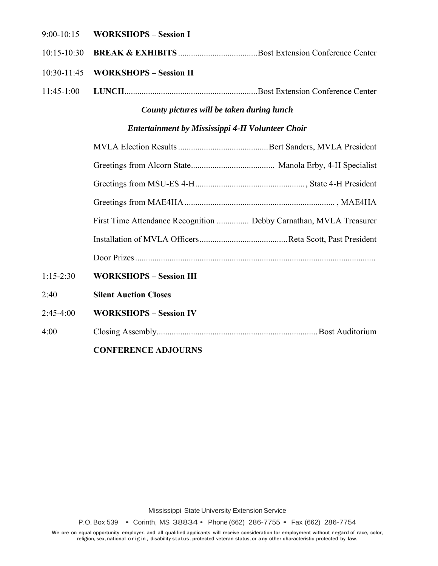#### 9:00-10:15 **WORKSHOPS – Session I**

10:15-10:30 **BREAK & EXHIBITS** .....................................Bost Extension Conference Center

#### 10:30-11:45 **WORKSHOPS – Session II**

11:45-1:00 **LUNCH**..............................................................Bost Extension Conference Center

# *County pictures will be taken during lunch*

### *Entertainment by Mississippi 4-H Volunteer Choir*

|             | First Time Attendance Recognition  Debby Carnathan, MVLA Treasurer |  |
|-------------|--------------------------------------------------------------------|--|
|             |                                                                    |  |
|             |                                                                    |  |
| $1:15-2:30$ | <b>WORKSHOPS - Session III</b>                                     |  |
| 2:40        | <b>Silent Auction Closes</b>                                       |  |
| $2:45-4:00$ | <b>WORKSHOPS - Session IV</b>                                      |  |

4:00 Closing Assembly...........................................................................Bost Auditorium

### **CONFERENCE ADJOURNS**

Mississippi State University Extension Service

P.O. Box 539 • Corinth, MS 38834 • Phone (662) 286-7755 • Fax (662) 286-7754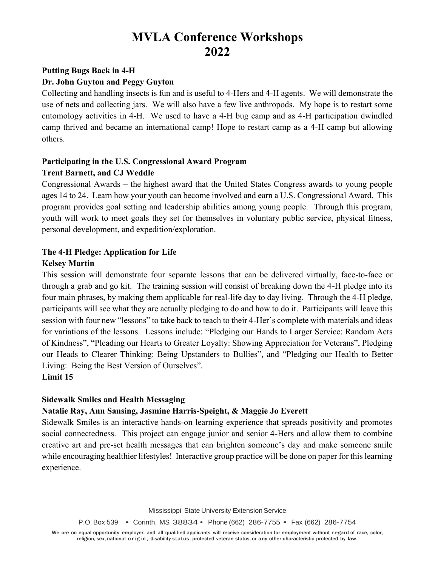# **MVLA Conference Workshops 2022**

# **Putting Bugs Back in 4-H**

## **Dr. John Guyton and Peggy Guyton**

Collecting and handling insects is fun and is useful to 4-Hers and 4-H agents. We will demonstrate the use of nets and collecting jars. We will also have a few live anthropods. My hope is to restart some entomology activities in 4-H. We used to have a 4-H bug camp and as 4-H participation dwindled camp thrived and became an international camp! Hope to restart camp as a 4-H camp but allowing others.

# **Participating in the U.S. Congressional Award Program Trent Barnett, and CJ Weddle**

Congressional Awards – the highest award that the United States Congress awards to young people ages 14 to 24. Learn how your youth can become involved and earn a U.S. Congressional Award. This program provides goal setting and leadership abilities among young people. Through this program, youth will work to meet goals they set for themselves in voluntary public service, physical fitness, personal development, and expedition/exploration.

# **The 4-H Pledge: Application for Life**

### **Kelsey Martin**

This session will demonstrate four separate lessons that can be delivered virtually, face-to-face or through a grab and go kit. The training session will consist of breaking down the 4-H pledge into its four main phrases, by making them applicable for real-life day to day living. Through the 4-H pledge, participants will see what they are actually pledging to do and how to do it. Participants will leave this session with four new "lessons" to take back to teach to their 4-Her's complete with materials and ideas for variations of the lessons. Lessons include: "Pledging our Hands to Larger Service: Random Acts of Kindness", "Pleading our Hearts to Greater Loyalty: Showing Appreciation for Veterans", Pledging our Heads to Clearer Thinking: Being Upstanders to Bullies", and "Pledging our Health to Better Living: Being the Best Version of Ourselves". **Limit 15**

# **Sidewalk Smiles and Health Messaging**

# **Natalie Ray, Ann Sansing, Jasmine Harris-Speight, & Maggie Jo Everett**

Sidewalk Smiles is an interactive hands-on learning experience that spreads positivity and promotes social connectedness. This project can engage junior and senior 4-Hers and allow them to combine creative art and pre-set health messages that can brighten someone's day and make someone smile while encouraging healthier lifestyles! Interactive group practice will be done on paper for this learning experience.

Mississippi State University Extension Service

P.O. Box 539 • Corinth, MS 38834 • Phone (662) 286-7755 • Fax (662) 286-7754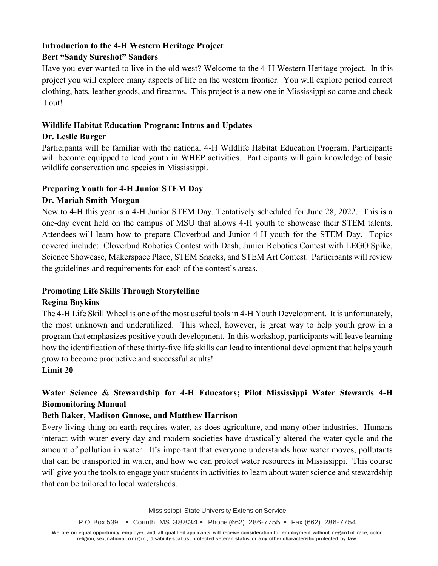# **Introduction to the 4-H Western Heritage Project**

# **Bert "Sandy Sureshot" Sanders**

Have you ever wanted to live in the old west? Welcome to the 4-H Western Heritage project. In this project you will explore many aspects of life on the western frontier. You will explore period correct clothing, hats, leather goods, and firearms. This project is a new one in Mississippi so come and check it out!

# **Wildlife Habitat Education Program: Intros and Updates**

# **Dr. Leslie Burger**

Participants will be familiar with the national 4-H Wildlife Habitat Education Program. Participants will become equipped to lead youth in WHEP activities. Participants will gain knowledge of basic wildlife conservation and species in Mississippi.

# **Preparing Youth for 4-H Junior STEM Day**

# **Dr. Mariah Smith Morgan**

New to 4-H this year is a 4-H Junior STEM Day. Tentatively scheduled for June 28, 2022. This is a one-day event held on the campus of MSU that allows 4-H youth to showcase their STEM talents. Attendees will learn how to prepare Cloverbud and Junior 4-H youth for the STEM Day. Topics covered include: Cloverbud Robotics Contest with Dash, Junior Robotics Contest with LEGO Spike, Science Showcase, Makerspace Place, STEM Snacks, and STEM Art Contest. Participants will review the guidelines and requirements for each of the contest's areas.

# **Promoting Life Skills Through Storytelling**

# **Regina Boykins**

The 4-H Life Skill Wheel is one of the most useful tools in 4-H Youth Development. It is unfortunately, the most unknown and underutilized. This wheel, however, is great way to help youth grow in a program that emphasizes positive youth development. In this workshop, participants will leave learning how the identification of these thirty-five life skills can lead to intentional development that helps youth grow to become productive and successful adults!

# **Limit 20**

# **Water Science & Stewardship for 4-H Educators; Pilot Mississippi Water Stewards 4-H Biomonitoring Manual**

# **Beth Baker, Madison Gnoose, and Matthew Harrison**

Every living thing on earth requires water, as does agriculture, and many other industries. Humans interact with water every day and modern societies have drastically altered the water cycle and the amount of pollution in water. It's important that everyone understands how water moves, pollutants that can be transported in water, and how we can protect water resources in Mississippi. This course will give you the tools to engage your students in activities to learn about water science and stewardship that can be tailored to local watersheds.

Mississippi State University Extension Service

P.O. Box 539 • Corinth, MS 38834 • Phone (662) 286-7755 • Fax (662) 286-7754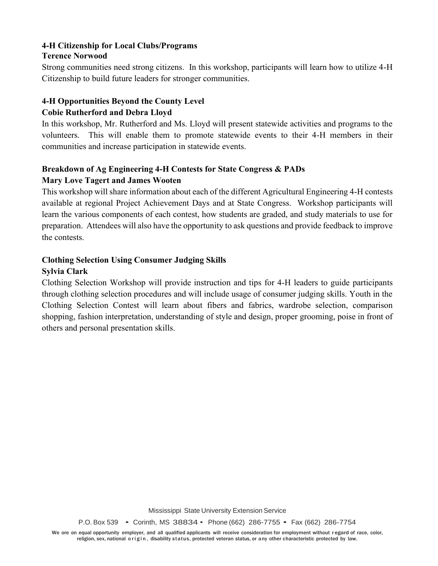### **4-H Citizenship for Local Clubs/Programs Terence Norwood**

Strong communities need strong citizens. In this workshop, participants will learn how to utilize 4-H Citizenship to build future leaders for stronger communities.

## **4-H Opportunities Beyond the County Level Cobie Rutherford and Debra Lloyd**

In this workshop, Mr. Rutherford and Ms. Lloyd will present statewide activities and programs to the volunteers. This will enable them to promote statewide events to their 4-H members in their communities and increase participation in statewide events.

# **Breakdown of Ag Engineering 4-H Contests for State Congress & PADs Mary Love Tagert and James Wooten**

This workshop will share information about each of the different Agricultural Engineering 4-H contests available at regional Project Achievement Days and at State Congress. Workshop participants will learn the various components of each contest, how students are graded, and study materials to use for preparation. Attendees will also have the opportunity to ask questions and provide feedback to improve the contests.

# **Clothing Selection Using Consumer Judging Skills**

# **Sylvia Clark**

Clothing Selection Workshop will provide instruction and tips for 4-H leaders to guide participants through clothing selection procedures and will include usage of consumer judging skills. Youth in the Clothing Selection Contest will learn about fibers and fabrics, wardrobe selection, comparison shopping, fashion interpretation, understanding of style and design, proper grooming, poise in front of others and personal presentation skills.

Mississippi State University Extension Service

P.O. Box 539 • Corinth, MS 38834 • Phone (662) 286-7755 • Fax (662) 286-7754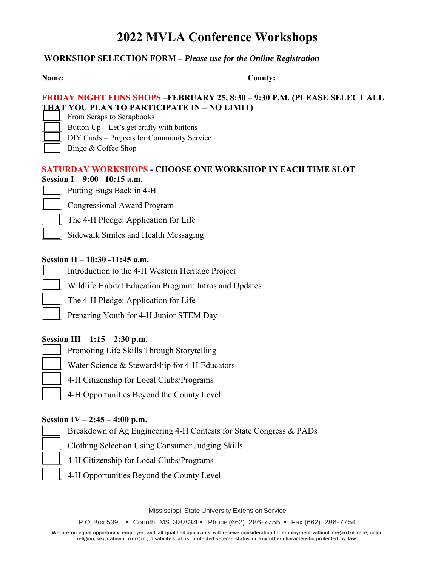# **2022 MVLA Conference Workshops**

### **WORKSHOP SELECTION FORM –** *Please use for the Online Registration*

|  | am• |  |
|--|-----|--|

**Name: \_\_\_\_\_\_\_\_\_\_\_\_\_\_\_\_\_\_\_\_\_\_\_\_\_\_\_\_\_\_\_\_\_\_\_\_\_\_ County: \_\_\_\_\_\_\_\_\_\_\_\_\_\_\_\_\_\_\_\_\_\_\_\_\_\_\_\_**

## **FRIDAY NIGHT FUNS SHOPS –FEBRUARY 25, 8:30 – 9:30 P.M. (PLEASE SELECT ALL THAT YOU PLAN TO PARTICIPATE IN – NO LIMIT)**

From Scraps to Scrapbooks

- Button  $Up Let's get crafty with buttons$
- DIY Cards Projects for Community Service
- Bingo & Coffee Shop

### **SATURDAY WORKSHOPS - CHOOSE ONE WORKSHOP IN EACH TIME SLOT Session I – 9:00 –10:15 a.m.**

| Putt |
|------|
| nn   |

ting Bugs Back in 4-H

\_\_\_\_\_ Congressional Award Program

The 4-H Pledge: Application for Life

Sidewalk Smiles and Health Messaging

### **Session II – 10:30 -11:45 a.m.**

- Introduction to the 4-H Western Heritage Project
- Wildlife Habitat Education Program: Intros and Updates
- The 4-H Pledge: Application for Life
- Preparing Youth for 4-H Junior STEM Day

### **Session III – 1:15 – 2:30 p.m.**

- Promoting Life Skills Through Storytelling
- Water Science & Stewardship for 4-H Educators
- 4-H Citizenship for Local Clubs/Programs
- 4-H Opportunities Beyond the County Level

### **Session IV – 2:45 – 4:00 p.m.**

Breakdown of Ag Engineering 4-H Contests for State Congress & PADs

\_\_\_\_\_ Clothing Selection Using Consumer Judging Skills

- 4-H Citizenship for Local Clubs/Programs
- 4-H Opportunities Beyond the County Level

Mississippi State University Extension Service

P.O. Box 539 • Corinth, MS 38834 • Phone (662) 286-7755 • Fax (662) 286-7754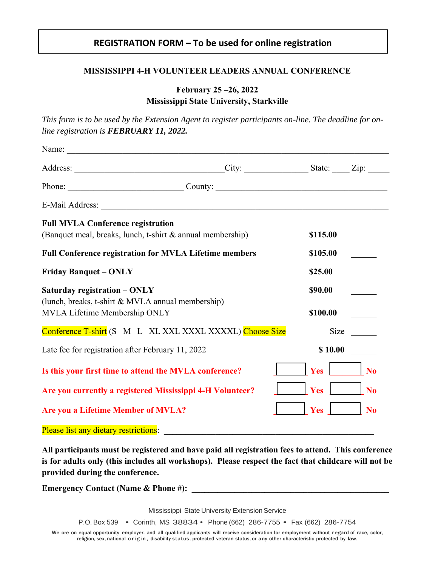# **REGISTRATION FORM – To be used for online registration**

### **MISSISSIPPI 4-H VOLUNTEER LEADERS ANNUAL CONFERENCE**

# **February 25 –26, 2022 Mississippi State University, Starkville**

*This form is to be used by the Extension Agent to register participants on-line. The deadline for online registration is FEBRUARY 11, 2022.*

| Name:                                                                                                  |                       |          |                |
|--------------------------------------------------------------------------------------------------------|-----------------------|----------|----------------|
|                                                                                                        | $City:$ State: $Zip:$ |          |                |
| Phone: County: County:                                                                                 |                       |          |                |
| E-Mail Address: Lawrence and American control of the Main Address:                                     |                       |          |                |
| <b>Full MVLA Conference registration</b><br>(Banquet meal, breaks, lunch, t-shirt & annual membership) |                       | \$115.00 |                |
| <b>Full Conference registration for MVLA Lifetime members</b>                                          |                       | \$105.00 |                |
| <b>Friday Banquet - ONLY</b>                                                                           |                       | \$25.00  |                |
| Saturday registration - ONLY<br>(lunch, breaks, t-shirt & MVLA annual membership)                      |                       | \$90.00  |                |
| MVLA Lifetime Membership ONLY                                                                          |                       | \$100.00 |                |
| Conference T-shirt (S M L XL XXL XXXL XXXXL) Choose Size                                               |                       | Size     |                |
| Late fee for registration after February 11, 2022                                                      |                       | \$10.00  |                |
| Is this your first time to attend the MVLA conference?                                                 |                       | Yes      | N <sub>o</sub> |
| Are you currently a registered Mississippi 4-H Volunteer?                                              |                       | Yes      | N <sub>0</sub> |
| <b>Are you a Lifetime Member of MVLA?</b>                                                              |                       | Yes      | <b>No</b>      |
| Please list any dietary restrictions:                                                                  |                       |          |                |

**All participants must be registered and have paid all registration fees to attend. This conference is for adults only (this includes all workshops). Please respect the fact that childcare will not be provided during the conference.**

**Emergency Contact (Name & Phone #):** 

Mississippi State University Extension Service

P.O. Box 539 • Corinth, MS 38834 • Phone (662) 286-7755 • Fax (662) 286-7754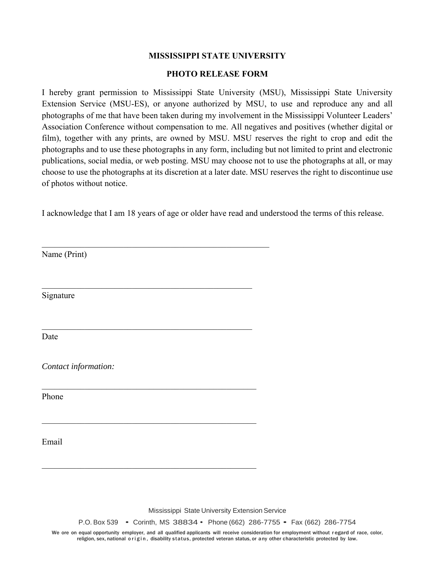### **MISSISSIPPI STATE UNIVERSITY**

#### **PHOTO RELEASE FORM**

I hereby grant permission to Mississippi State University (MSU), Mississippi State University Extension Service (MSU-ES), or anyone authorized by MSU, to use and reproduce any and all photographs of me that have been taken during my involvement in the Mississippi Volunteer Leaders' Association Conference without compensation to me. All negatives and positives (whether digital or film), together with any prints, are owned by MSU. MSU reserves the right to crop and edit the photographs and to use these photographs in any form, including but not limited to print and electronic publications, social media, or web posting. MSU may choose not to use the photographs at all, or may choose to use the photographs at its discretion at a later date. MSU reserves the right to discontinue use of photos without notice.

I acknowledge that I am 18 years of age or older have read and understood the terms of this release.

Name (Print)

Signature

Date

*Contact information:* 

\_\_\_\_\_\_\_\_\_\_\_\_\_\_\_\_\_\_\_\_\_\_\_\_\_\_\_\_\_\_\_\_\_\_\_\_\_\_\_\_\_\_\_\_\_\_\_\_\_

\_\_\_\_\_\_\_\_\_\_\_\_\_\_\_\_\_\_\_\_\_\_\_\_\_\_\_\_\_\_\_\_\_\_\_\_\_\_\_\_\_\_\_\_\_\_\_\_\_\_

\_\_\_\_\_\_\_\_\_\_\_\_\_\_\_\_\_\_\_\_\_\_\_\_\_\_\_\_\_\_\_\_\_\_\_\_\_\_\_\_\_\_\_\_\_\_\_\_\_\_

Phone

Email

Mississippi State University Extension Service

P.O. Box 539 • Corinth, MS 38834 • Phone (662) 286-7755 • Fax (662) 286-7754